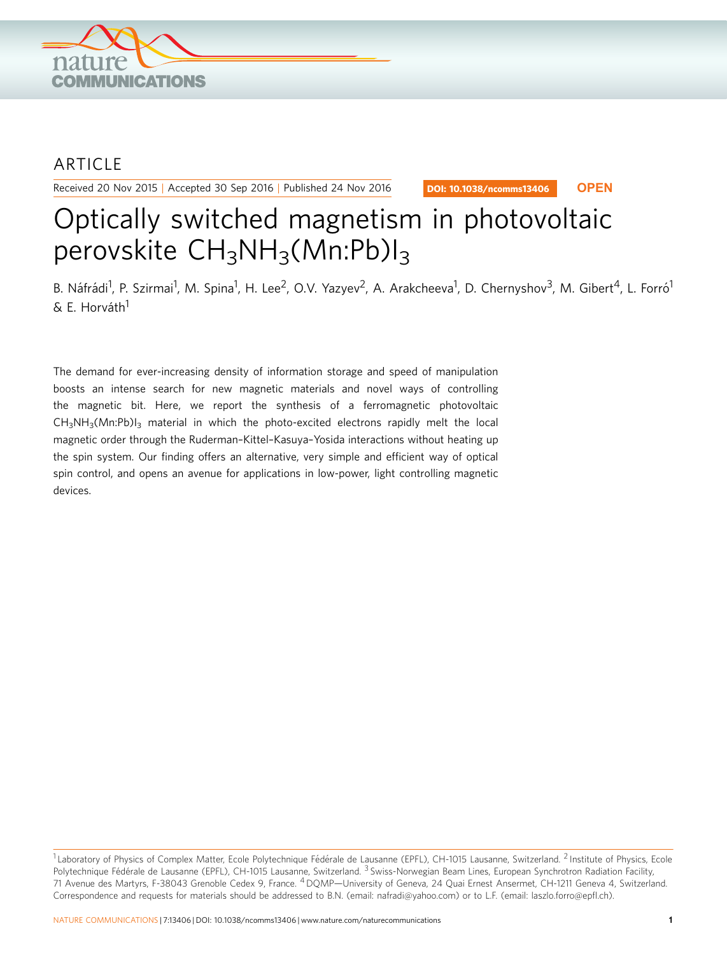

## ARTICLE

Received 20 Nov 2015 | Accepted 30 Sep 2016 | Published 24 Nov 2016

DOI: 10.1038/ncomms13406 **OPEN**

# Optically switched magnetism in photovoltaic perovskite  $CH_3NH_3(Mn:Pb)I_3$

B. Náfrádi<sup>1</sup>, P. Szirmai<sup>1</sup>, M. Spina<sup>1</sup>, H. Lee<sup>2</sup>, O.V. Yazyev<sup>2</sup>, A. Arakcheeva<sup>1</sup>, D. Chernyshov<sup>3</sup>, M. Gibert<sup>4</sup>, L. Forró<sup>1</sup>  $\kappa$  F. Horváth $1$ 

The demand for ever-increasing density of information storage and speed of manipulation boosts an intense search for new magnetic materials and novel ways of controlling the magnetic bit. Here, we report the synthesis of a ferromagnetic photovoltaic  $CH<sub>3</sub>NH<sub>3</sub>(Mn:Pb)<sub>3</sub>$  material in which the photo-excited electrons rapidly melt the local magnetic order through the Ruderman–Kittel–Kasuya–Yosida interactions without heating up the spin system. Our finding offers an alternative, very simple and efficient way of optical spin control, and opens an avenue for applications in low-power, light controlling magnetic devices.

<sup>&</sup>lt;sup>1</sup> Laboratory of Physics of Complex Matter, Ecole Polytechnique Fédérale de Lausanne (EPFL), CH-1015 Lausanne, Switzerland. <sup>2</sup> Institute of Physics, Ecole Polytechnique Fédérale de Lausanne (EPFL), CH-1015 Lausanne, Switzerland. <sup>3</sup> Swiss-Norwegian Beam Lines, European Synchrotron Radiation Facility, 71 Avenue des Martyrs, F-38043 Grenoble Cedex 9, France. 4DQMP—University of Geneva, 24 Quai Ernest Ansermet, CH-1211 Geneva 4, Switzerland. Correspondence and requests for materials should be addressed to B.N. (email: [nafradi@yahoo.com](mailto:nafradi@yahoo.com)) or to L.F. (email: [laszlo.forro@epfl.ch\)](mailto:laszlo.forro@epfl.ch).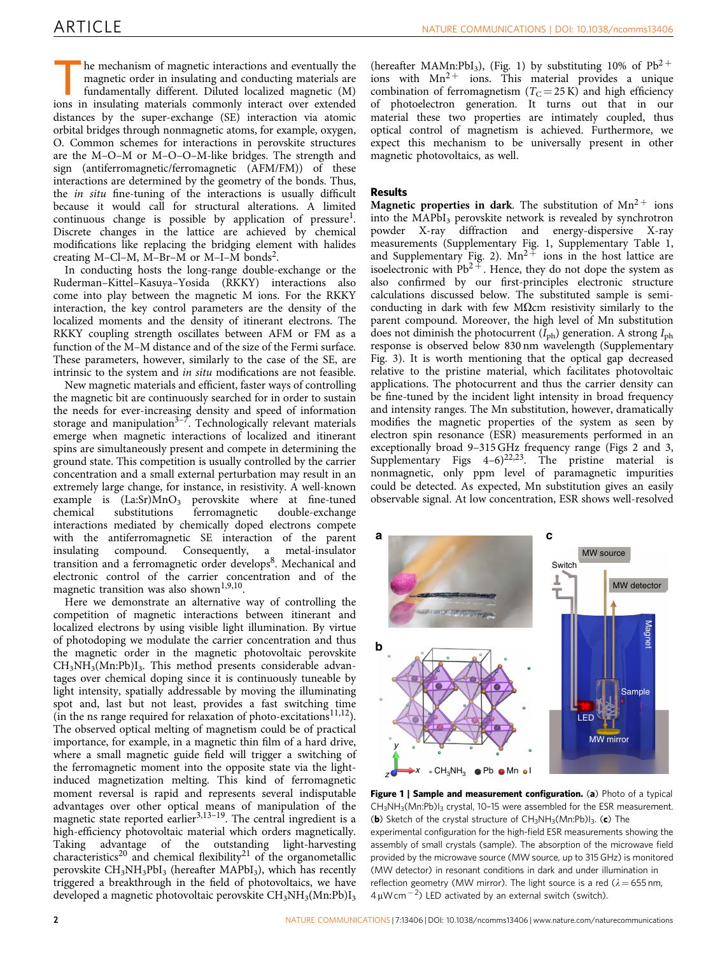<span id="page-1-0"></span>The mechanism of magnetic interactions and eventually the<br>
magnetic order in insulating and conducting materials are<br>
fundamentally different. Diluted localized magnetic (M)<br>
ions in insulating materials commonly interact magnetic order in insulating and conducting materials are ions in insulating materials commonly interact over extended distances by the super-exchange (SE) interaction via atomic orbital bridges through nonmagnetic atoms, for example, oxygen, O. Common schemes for interactions in perovskite structures are the M–O–M or M–O–O–M-like bridges. The strength and sign (antiferromagnetic/ferromagnetic (AFM/FM)) of these interactions are determined by the geometry of the bonds. Thus, the in situ fine-tuning of the interactions is usually difficult because it would call for structural alterations. A limited continuous change is possible by application of pressure<sup>1</sup>. Discrete changes in the lattice are achieved by chemical modifications like replacing the bridging element with halides creating M–Cl–M, M–Br–M or M–I–M bonds[2](#page-6-0).

In conducting hosts the long-range double-exchange or the Ruderman–Kittel–Kasuya–Yosida (RKKY) interactions also come into play between the magnetic M ions. For the RKKY interaction, the key control parameters are the density of the localized moments and the density of itinerant electrons. The RKKY coupling strength oscillates between AFM or FM as a function of the M–M distance and of the size of the Fermi surface. These parameters, however, similarly to the case of the SE, are intrinsic to the system and in situ modifications are not feasible.

New magnetic materials and efficient, faster ways of controlling the magnetic bit are continuously searched for in order to sustain the needs for ever-increasing density and speed of information storage and manipulation<sup>3–7</sup>. Technologically relevant materials emerge when magnetic interactions of localized and itinerant spins are simultaneously present and compete in determining the ground state. This competition is usually controlled by the carrier concentration and a small external perturbation may result in an extremely large change, for instance, in resistivity. A well-known example is  $(La:Sr)MnO<sub>3</sub>$  perovskite where at fine-tuned<br>chemical substitutions ferromagnetic double-exchange double-exchange interactions mediated by chemically doped electrons compete with the antiferromagnetic SE interaction of the parent insulating compound. Consequently, a metal-insulator transition and a ferromagnetic order develops<sup>[8](#page-6-0)</sup>. Mechanical and electronic control of the carrier concentration and of the magnetic transition was also shown<sup>1,9,10</sup>.

Here we demonstrate an alternative way of controlling the competition of magnetic interactions between itinerant and localized electrons by using visible light illumination. By virtue of photodoping we modulate the carrier concentration and thus the magnetic order in the magnetic photovoltaic perovskite  $CH<sub>3</sub>NH<sub>3</sub>(Mn:Pb)I<sub>3</sub>$ . This method presents considerable advantages over chemical doping since it is continuously tuneable by light intensity, spatially addressable by moving the illuminating spot and, last but not least, provides a fast switching time (in the ns range required for relaxation of photo-excitations<sup>[11,12](#page-6-0)</sup>). The observed optical melting of magnetism could be of practical importance, for example, in a magnetic thin film of a hard drive, where a small magnetic guide field will trigger a switching of the ferromagnetic moment into the opposite state via the lightinduced magnetization melting. This kind of ferromagnetic moment reversal is rapid and represents several indisputable advantages over other optical means of manipulation of the magnetic state reported earlier<sup>3,13-19</sup>. The central ingredient is a high-efficiency photovoltaic material which orders magnetically. Taking advantage of the outstanding light-harvesting characteristics<sup>[20](#page-6-0)</sup> and chemical flexibility<sup>[21](#page-6-0)</sup> of the organometallic perovskite CH<sub>3</sub>NH<sub>3</sub>PbI<sub>3</sub> (hereafter MAPbI<sub>3</sub>), which has recently triggered a breakthrough in the field of photovoltaics, we have developed a magnetic photovoltaic perovskite  $CH<sub>3</sub>NH<sub>3</sub>(Mn:Pb)I<sub>3</sub>$ 

(hereafter MAMn:PbI<sub>3</sub>), (Fig. 1) by substituting 10% of Pb<sup>2+</sup> ions with  $Mn^{2+}$  ions. This material provides a unique combination of ferromagnetism  $(T_C = 25 \text{ K})$  and high efficiency of photoelectron generation. It turns out that in our material these two properties are intimately coupled, thus optical control of magnetism is achieved. Furthermore, we expect this mechanism to be universally present in other magnetic photovoltaics, as well.

## Results

**Magnetic properties in dark.** The substitution of  $Mn^2$  ions into the MAPbI<sub>3</sub> perovskite network is revealed by synchrotron powder X-ray diffraction and energy-dispersive X-ray measurements (Supplementary Fig. 1, Supplementary Table 1, and Supplementary Fig. 2).  $\dot{M}n^{2}$  ions in the host lattice are isoelectronic with  $Pb^{2+}$ . Hence, they do not dope the system as also confirmed by our first-principles electronic structure calculations discussed below. The substituted sample is semiconducting in dark with few M $\Omega$ cm resistivity similarly to the parent compound. Moreover, the high level of Mn substitution does not diminish the photocurrent  $(I_{\text{ph}})$  generation. A strong  $I_{\text{ph}}$ response is observed below 830 nm wavelength (Supplementary Fig. 3). It is worth mentioning that the optical gap decreased relative to the pristine material, which facilitates photovoltaic applications. The photocurrent and thus the carrier density can be fine-tuned by the incident light intensity in broad frequency and intensity ranges. The Mn substitution, however, dramatically modifies the magnetic properties of the system as seen by electron spin resonance (ESR) measurements performed in an exceptionally broad 9–315 GHz frequency range [\(Figs 2 and 3,](#page-2-0) Supplementary Figs  $4-6)^{22,23}$  $4-6)^{22,23}$  $4-6)^{22,23}$ . The pristine material is nonmagnetic, only ppm level of paramagnetic impurities could be detected. As expected, Mn substitution gives an easily observable signal. At low concentration, ESR shows well-resolved



Figure 1 | Sample and measurement configuration. (a) Photo of a typical  $CH<sub>3</sub>NH<sub>3</sub>(Mn:Pb)I<sub>3</sub>$  crystal, 10-15 were assembled for the ESR measurement. (b) Sketch of the crystal structure of  $CH_3NH_3(Mn:Pb)I_3$ . (c) The experimental configuration for the high-field ESR measurements showing the assembly of small crystals (sample). The absorption of the microwave field provided by the microwave source (MW source, up to 315 GHz) is monitored (MW detector) in resonant conditions in dark and under illumination in reflection geometry (MW mirror). The light source is a red ( $\lambda$  = 655 nm,  $4 \mu$ W cm<sup>-2</sup>) LED activated by an external switch (switch).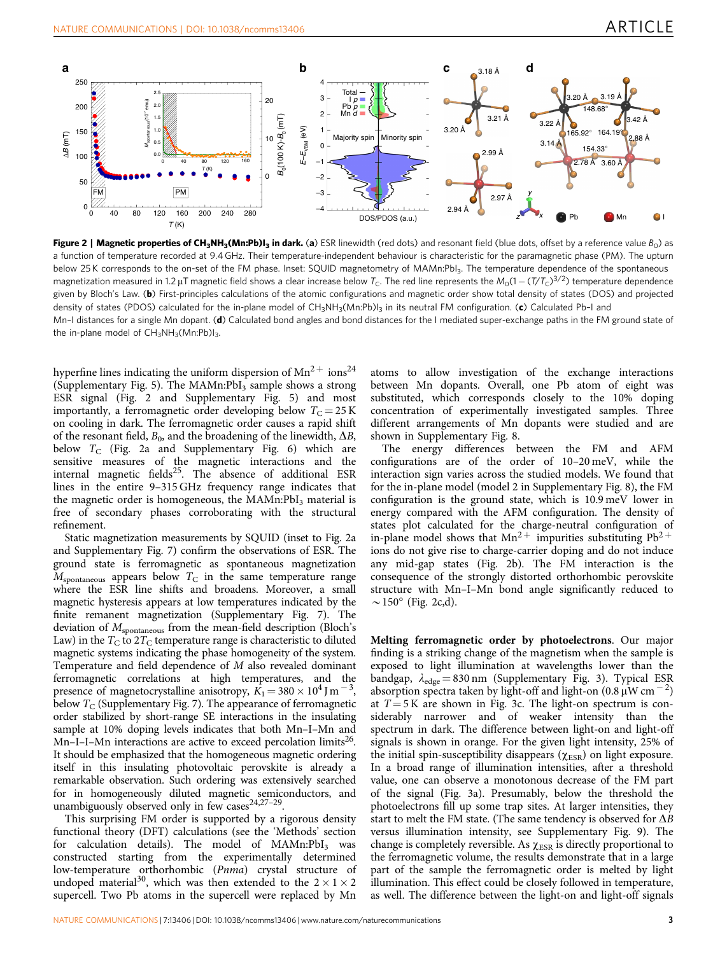<span id="page-2-0"></span>

Figure 2 | Magnetic properties of CH<sub>3</sub>NH<sub>3</sub>(Mn:Pb)I<sub>3</sub> in dark. (a) ESR linewidth (red dots) and resonant field (blue dots, offset by a reference value  $B_0$ ) as a function of temperature recorded at 9.4 GHz. Their temperature-independent behaviour is characteristic for the paramagnetic phase (PM). The upturn below 25 K corresponds to the on-set of the FM phase. Inset: SQUID magnetometry of MAMn:PbI<sub>3</sub>. The temperature dependence of the spontaneous magnetization measured in 1.2 µT magnetic field shows a clear increase below  $T_{\rm C}$ . The red line represents the  $M_{\rm O}(1-(7/T_{\rm C})^{3/2})$  temperature dependence given by Bloch's Law. (b) First-principles calculations of the atomic configurations and magnetic order show total density of states (DOS) and projected density of states (PDOS) calculated for the in-plane model of  $CH_3NH_3(Mn:Pb)I_3$  in its neutral FM configuration. (c) Calculated Pb-I and Mn-I distances for a single Mn dopant. (d) Calculated bond angles and bond distances for the I mediated super-exchange paths in the FM ground state of the in-plane model of  $CH<sub>3</sub>NH<sub>3</sub>(Mn:Pb)I<sub>3</sub>$ .

hyperfine lines indicating the uniform dispersion of  $Mn^{2+}$  ions<sup>[24](#page-6-0)</sup> (Supplementary Fig. 5). The MAMn:PbI<sub>3</sub> sample shows a strong ESR signal (Fig. 2 and Supplementary Fig. 5) and most importantly, a ferromagnetic order developing below  $T_{\rm C} = 25$  K on cooling in dark. The ferromagnetic order causes a rapid shift of the resonant field,  $B_0$ , and the broadening of the linewidth,  $\Delta B$ , below  $T_{\rm C}$  (Fig. 2a and Supplementary Fig. 6) which are sensitive measures of the magnetic interactions and the internal magnetic fields<sup>25</sup>. The absence of additional ESR lines in the entire 9–315 GHz frequency range indicates that the magnetic order is homogeneous, the MAMn:PbI<sub>3</sub> material is free of secondary phases corroborating with the structural refinement.

Static magnetization measurements by SQUID (inset to Fig. 2a and Supplementary Fig. 7) confirm the observations of ESR. The ground state is ferromagnetic as spontaneous magnetization  $M_{\text{spontaneous}}$  appears below  $T_{\text{C}}$  in the same temperature range where the ESR line shifts and broadens. Moreover, a small magnetic hysteresis appears at low temperatures indicated by the finite remanent magnetization (Supplementary Fig. 7). The deviation of  $M_{\text{spontaneous}}$  from the mean-field description (Bloch's Law) in the  $T_{\rm C}$  to 2 $T_{\rm C}$  temperature range is characteristic to diluted magnetic systems indicating the phase homogeneity of the system. Temperature and field dependence of M also revealed dominant ferromagnetic correlations at high temperatures, and the presence of magnetocrystalline anisotropy,  $\dot{K_1}$  = 380  $\times$  10<sup>4</sup> J m<sup>-3</sup>, below  $T_{\rm C}$  (Supplementary Fig. 7). The appearance of ferromagnetic order stabilized by short-range SE interactions in the insulating sample at 10% doping levels indicates that both Mn–I–Mn and  $Mn-I-I-Mn$  interactions are active to exceed percolation limits<sup>26</sup>. It should be emphasized that the homogeneous magnetic ordering itself in this insulating photovoltaic perovskite is already a remarkable observation. Such ordering was extensively searched for in homogeneously diluted magnetic semiconductors, and unambiguously observed only in few cases<sup>24,27-29</sup>.

This surprising FM order is supported by a rigorous density functional theory (DFT) calculations (see the 'Methods' section for calculation details). The model of  $MAMn:PbI<sub>3</sub>$  was constructed starting from the experimentally determined low-temperature orthorhombic (Pnma) crystal structure of undoped material<sup>[30](#page-6-0)</sup>, which was then extended to the  $2 \times 1 \times 2$ supercell. Two Pb atoms in the supercell were replaced by Mn

atoms to allow investigation of the exchange interactions between Mn dopants. Overall, one Pb atom of eight was substituted, which corresponds closely to the 10% doping concentration of experimentally investigated samples. Three different arrangements of Mn dopants were studied and are shown in Supplementary Fig. 8.

The energy differences between the FM and AFM configurations are of the order of 10–20 meV, while the interaction sign varies across the studied models. We found that for the in-plane model (model 2 in Supplementary Fig. 8), the FM configuration is the ground state, which is 10.9 meV lower in energy compared with the AFM configuration. The density of states plot calculated for the charge-neutral configuration of in-plane model shows that  $Mn^2$ <sup>+</sup> impurities substituting Pb<sup>2+</sup> ions do not give rise to charge-carrier doping and do not induce any mid-gap states (Fig. 2b). The FM interaction is the consequence of the strongly distorted orthorhombic perovskite structure with Mn–I–Mn bond angle significantly reduced to  $\sim$  150 $^{\circ}$  (Fig. 2c,d).

Melting ferromagnetic order by photoelectrons. Our major finding is a striking change of the magnetism when the sample is exposed to light illumination at wavelengths lower than the bandgap,  $\lambda_{\text{edge}} = 830 \text{ nm}$  (Supplementary Fig. 3). Typical ESR absorption spectra taken by light-off and light-on (0.8  $\mu$ W cm<sup>-2</sup>) at  $T = 5$  K are shown in [Fig. 3c.](#page-3-0) The light-on spectrum is considerably narrower and of weaker intensity than the spectrum in dark. The difference between light-on and light-off signals is shown in orange. For the given light intensity, 25% of the initial spin-susceptibility disappears ( $\chi_{ESR}$ ) on light exposure. In a broad range of illumination intensities, after a threshold value, one can observe a monotonous decrease of the FM part of the signal ([Fig. 3a\)](#page-3-0). Presumably, below the threshold the photoelectrons fill up some trap sites. At larger intensities, they start to melt the FM state. (The same tendency is observed for  $\Delta B$ versus illumination intensity, see Supplementary Fig. 9). The change is completely reversible. As  $\chi_{ESR}$  is directly proportional to the ferromagnetic volume, the results demonstrate that in a large part of the sample the ferromagnetic order is melted by light illumination. This effect could be closely followed in temperature, as well. The difference between the light-on and light-off signals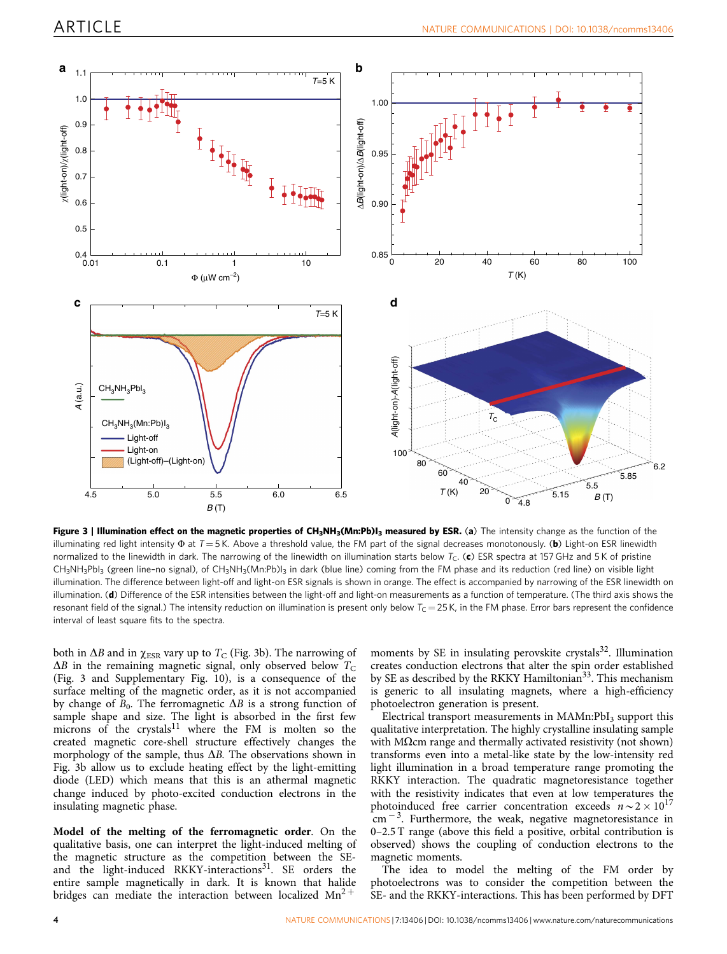<span id="page-3-0"></span>

Figure 3 | Illumination effect on the magnetic properties of  $CH_3NH_3(Mn:Pb)I_3$  measured by ESR. (a) The intensity change as the function of the illuminating red light intensity  $\Phi$  at  $T = 5K$ . Above a threshold value, the FM part of the signal decreases monotonously. (b) Light-on ESR linewidth normalized to the linewidth in dark. The narrowing of the linewidth on illumination starts below  $T_c$ . (c) ESR spectra at 157 GHz and 5 K of pristine CH<sub>3</sub>NH<sub>3</sub>PbI<sub>3</sub> (green line-no signal), of CH<sub>3</sub>NH<sub>3</sub>(Mn:Pb)I<sub>3</sub> in dark (blue line) coming from the FM phase and its reduction (red line) on visible light illumination. The difference between light-off and light-on ESR signals is shown in orange. The effect is accompanied by narrowing of the ESR linewidth on illumination. (d) Difference of the ESR intensities between the light-off and light-on measurements as a function of temperature. (The third axis shows the resonant field of the signal.) The intensity reduction on illumination is present only below  $T_c = 25$  K, in the FM phase. Error bars represent the confidence interval of least square fits to the spectra.

both in  $\Delta B$  and in  $\chi_{ESR}$  vary up to  $T_C$  (Fig. 3b). The narrowing of  $\Delta B$  in the remaining magnetic signal, only observed below  $T_{\rm C}$ (Fig. 3 and Supplementary Fig. 10), is a consequence of the surface melting of the magnetic order, as it is not accompanied by change of  $B_0$ . The ferromagnetic  $\Delta B$  is a strong function of sample shape and size. The light is absorbed in the first few microns of the crystals<sup>[11](#page-6-0)</sup> where the FM is molten so the created magnetic core-shell structure effectively changes the morphology of the sample, thus  $\Delta B$ . The observations shown in Fig. 3b allow us to exclude heating effect by the light-emitting diode (LED) which means that this is an athermal magnetic change induced by photo-excited conduction electrons in the insulating magnetic phase.

Model of the melting of the ferromagnetic order. On the qualitative basis, one can interpret the light-induced melting of the magnetic structure as the competition between the SEand the light-induced RKKY-interactions<sup>31</sup>. SE orders the entire sample magnetically in dark. It is known that halide bridges can mediate the interaction between localized  $Mn^2$ <sup>+</sup>

moments by SE in insulating perovskite crystals $32$ . Illumination creates conduction electrons that alter the spin order established by SE as described by the RKKY Hamiltonian<sup>[33](#page-6-0)</sup>. This mechanism is generic to all insulating magnets, where a high-efficiency photoelectron generation is present.

Electrical transport measurements in  $MAMn:PbI<sub>3</sub>$  support this qualitative interpretation. The highly crystalline insulating sample with M $\Omega$ cm range and thermally activated resistivity (not shown) transforms even into a metal-like state by the low-intensity red light illumination in a broad temperature range promoting the RKKY interaction. The quadratic magnetoresistance together with the resistivity indicates that even at low temperatures the photoinduced free carrier concentration exceeds  $n \sim 2 \times 10^{17}$  ${\rm cm^{-3}}$ . Furthermore, the weak, negative magnetoresistance in 0–2.5 T range (above this field a positive, orbital contribution is observed) shows the coupling of conduction electrons to the magnetic moments.

The idea to model the melting of the FM order by photoelectrons was to consider the competition between the SE- and the RKKY-interactions. This has been performed by DFT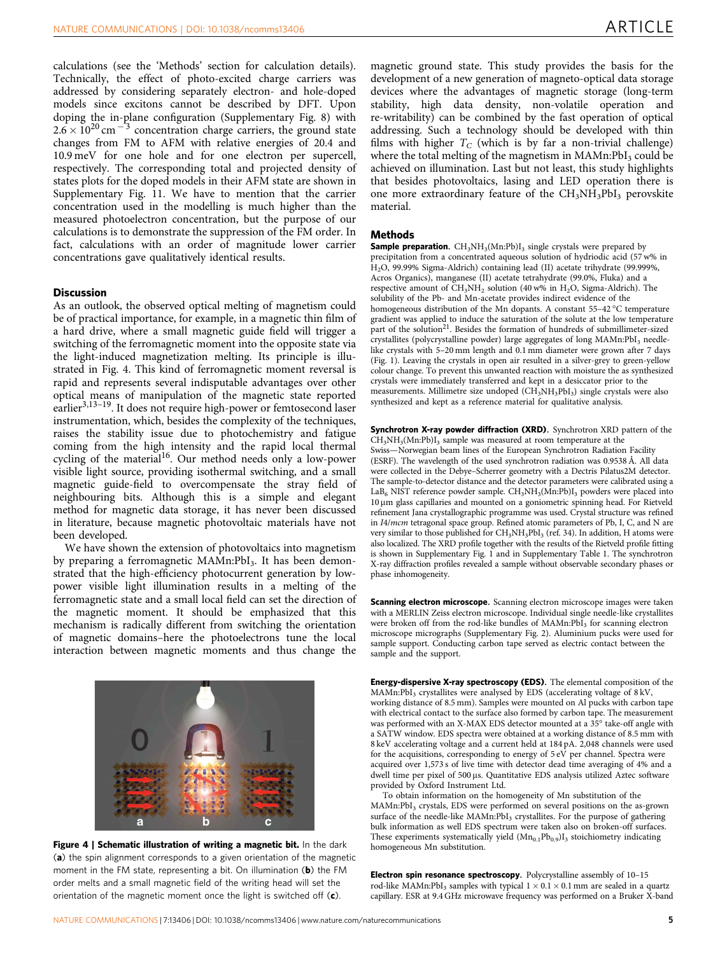calculations (see the 'Methods' section for calculation details). Technically, the effect of photo-excited charge carriers was addressed by considering separately electron- and hole-doped models since excitons cannot be described by DFT. Upon doping the in-plane configuration (Supplementary Fig. 8) with  $2.6 \times 10^{20}$  cm<sup>-3</sup> concentration charge carriers, the ground state changes from FM to AFM with relative energies of 20.4 and 10.9 meV for one hole and for one electron per supercell, respectively. The corresponding total and projected density of states plots for the doped models in their AFM state are shown in Supplementary Fig. 11. We have to mention that the carrier concentration used in the modelling is much higher than the measured photoelectron concentration, but the purpose of our calculations is to demonstrate the suppression of the FM order. In fact, calculations with an order of magnitude lower carrier concentrations gave qualitatively identical results.

## **Discussion**

As an outlook, the observed optical melting of magnetism could be of practical importance, for example, in a magnetic thin film of a hard drive, where a small magnetic guide field will trigger a switching of the ferromagnetic moment into the opposite state via the light-induced magnetization melting. Its principle is illustrated in Fig. 4. This kind of ferromagnetic moment reversal is rapid and represents several indisputable advantages over other optical means of manipulation of the magnetic state reported earlier<sup>3,13-19</sup>. It does not require high-power or femtosecond laser instrumentation, which, besides the complexity of the techniques, raises the stability issue due to photochemistry and fatigue coming from the high intensity and the rapid local thermal cycling of the material<sup>16</sup>. Our method needs only a low-power visible light source, providing isothermal switching, and a small magnetic guide-field to overcompensate the stray field of neighbouring bits. Although this is a simple and elegant method for magnetic data storage, it has never been discussed in literature, because magnetic photovoltaic materials have not been developed.

We have shown the extension of photovoltaics into magnetism by preparing a ferromagnetic MAMn:PbI<sub>3</sub>. It has been demonstrated that the high-efficiency photocurrent generation by lowpower visible light illumination results in a melting of the ferromagnetic state and a small local field can set the direction of the magnetic moment. It should be emphasized that this mechanism is radically different from switching the orientation of magnetic domains–here the photoelectrons tune the local interaction between magnetic moments and thus change the



Figure 4 | Schematic illustration of writing a magnetic bit. In the dark (a) the spin alignment corresponds to a given orientation of the magnetic moment in the FM state, representing a bit. On illumination  $(b)$  the FM order melts and a small magnetic field of the writing head will set the orientation of the magnetic moment once the light is switched off  $(c)$ .

magnetic ground state. This study provides the basis for the development of a new generation of magneto-optical data storage devices where the advantages of magnetic storage (long-term stability, high data density, non-volatile operation and re-writability) can be combined by the fast operation of optical addressing. Such a technology should be developed with thin films with higher  $T_C$  (which is by far a non-trivial challenge) where the total melting of the magnetism in  $MAMn:PbI<sub>3</sub>$  could be achieved on illumination. Last but not least, this study highlights that besides photovoltaics, lasing and LED operation there is one more extraordinary feature of the  $CH<sub>3</sub>NH<sub>3</sub>PbI<sub>3</sub>$  perovskite material.

#### Methods

**Sample preparation.**  $CH_3NH_3(Mn:Pb)I_3$  single crystals were prepared by precipitation from a concentrated aqueous solution of hydriodic acid (57 w% in H2O, 99.99% Sigma-Aldrich) containing lead (II) acetate trihydrate (99.999%, Acros Organics), manganese (II) acetate tetrahydrate (99.0%, Fluka) and a respective amount of CH3NH2 solution (40 w% in H2O, Sigma-Aldrich). The solubility of the Pb- and Mn-acetate provides indirect evidence of the homogeneous distribution of the Mn dopants. A constant 55-42 °C temperature gradient was applied to induce the saturation of the solute at the low temperature part of the solution<sup>[21](#page-6-0)</sup>. Besides the formation of hundreds of submillimeter-sized crystallites (polycrystalline powder) large aggregates of long MAMn:PbI<sub>3</sub> needlelike crystals with 5-20 mm length and 0.1 mm diameter were grown after 7 days [\(Fig. 1](#page-1-0)). Leaving the crystals in open air resulted in a silver-grey to green-yellow colour change. To prevent this unwanted reaction with moisture the as synthesized crystals were immediately transferred and kept in a desiccator prior to the measurements. Millimetre size undoped (CH3NH3PbI3) single crystals were also synthesized and kept as a reference material for qualitative analysis.

Synchrotron X-ray powder diffraction (XRD). Synchrotron XRD pattern of the  $CH<sub>3</sub>NH<sub>3</sub>(Mn:Pb)I<sub>3</sub>$  sample was measured at room temperature at the Swiss—Norwegian beam lines of the European Synchrotron Radiation Facility (ESRF). The wavelength of the used synchrotron radiation was 0.9538 Å. All data were collected in the Debye–Scherrer geometry with a Dectris Pilatus2M detector. The sample-to-detector distance and the detector parameters were calibrated using a  $LaB<sub>6</sub> NIST$  reference powder sample.  $CH<sub>3</sub>NH<sub>3</sub>(Mn:Pb)I<sub>3</sub>$  powders were placed into 10 µm glass capillaries and mounted on a goniometric spinning head. For Rietveld refinement Jana crystallographic programme was used. Crystal structure was refined in I4/mcm tetragonal space group. Refined atomic parameters of Pb, I, C, and N are very similar to those published for CH<sub>3</sub>NH<sub>3</sub>PbI<sub>3</sub> [\(ref. 34](#page-6-0)). In addition, H atoms were also localized. The XRD profile together with the results of the Rietveld profile fitting is shown in Supplementary Fig. 1 and in Supplementary Table 1. The synchrotron X-ray diffraction profiles revealed a sample without observable secondary phases or phase inhomogeneity.

Scanning electron microscope. Scanning electron microscope images were taken with a MERLIN Zeiss electron microscope. Individual single needle-like crystallites were broken off from the rod-like bundles of MAMn:PbI<sub>3</sub> for scanning electron microscope micrographs (Supplementary Fig. 2). Aluminium pucks were used for sample support. Conducting carbon tape served as electric contact between the sample and the support.

Energy-dispersive X-ray spectroscopy (EDS). The elemental composition of the MAMn:PbI<sub>3</sub> crystallites were analysed by EDS (accelerating voltage of 8 kV, working distance of 8.5 mm). Samples were mounted on Al pucks with carbon tape with electrical contact to the surface also formed by carbon tape. The measurement was performed with an X-MAX EDS detector mounted at a 35° take-off angle with a SATW window. EDS spectra were obtained at a working distance of 8.5 mm with 8 keV accelerating voltage and a current held at 184 pA. 2,048 channels were used for the acquisitions, corresponding to energy of  $5 eV$  per channel. Spectra were acquired over 1,573 s of live time with detector dead time averaging of 4% and a dwell time per pixel of 500 µs. Quantitative EDS analysis utilized Aztec software provided by Oxford Instrument Ltd.

To obtain information on the homogeneity of Mn substitution of the MAMn:PbI<sub>3</sub> crystals, EDS were performed on several positions on the as-grown surface of the needle-like MAMn:PbI<sub>3</sub> crystallites. For the purpose of gathering bulk information as well EDS spectrum were taken also on broken-off surfaces. These experiments systematically yield  $(Mn_{0.1}Pb_{0.9})I_3$  stoichiometry indicating homogeneous Mn substitution.

Electron spin resonance spectroscopy. Polycrystalline assembly of 10-15 rod-like MAMn:PbI<sub>3</sub> samples with typical  $1 \times 0.1 \times 0.1$  mm are sealed in a quartz capillary. ESR at 9.4 GHz microwave frequency was performed on a Bruker X-band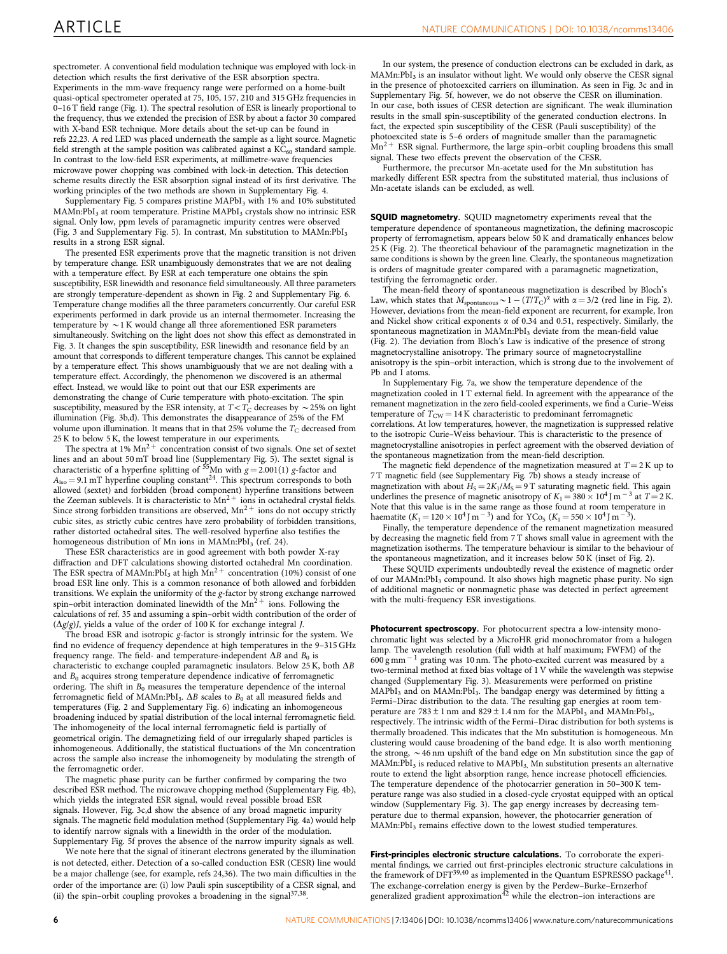spectrometer. A conventional field modulation technique was employed with lock-in detection which results the first derivative of the ESR absorption spectra. Experiments in the mm-wave frequency range were performed on a home-built quasi-optical spectrometer operated at 75, 105, 157, 210 and 315 GHz frequencies in 0–16 T field range [\(Fig. 1\)](#page-1-0). The spectral resolution of ESR is linearly proportional to the frequency, thus we extended the precision of ESR by about a factor 30 compared with X-band ESR technique. More details about the set-up can be found in [refs 22,23.](#page-6-0) A red LED was placed underneath the sample as a light source. Magnetic field strength at the sample position was calibrated against a  $\overline{KC}_{60}$  standard sample. In contrast to the low-field ESR experiments, at millimetre-wave frequencies microwave power chopping was combined with lock-in detection. This detection scheme results directly the ESR absorption signal instead of its first derivative. The working principles of the two methods are shown in Supplementary Fig. 4.

Supplementary Fig. 5 compares pristine MAPbI<sub>3</sub> with 1% and 10% substituted MAMn:PbI<sub>3</sub> at room temperature. Pristine MAPbI<sub>3</sub> crystals show no intrinsic ESR signal. Only low, ppm levels of paramagnetic impurity centres were observed [\(Fig. 3](#page-3-0) and Supplementary Fig. 5). In contrast, Mn substitution to MAMn:PbI<sub>3</sub> results in a strong ESR signal.

The presented ESR experiments prove that the magnetic transition is not driven by temperature change. ESR unambiguously demonstrates that we are not dealing with a temperature effect. By ESR at each temperature one obtains the spin susceptibility, ESR linewidth and resonance field simultaneously. All three parameters are strongly temperature-dependent as shown in [Fig. 2](#page-2-0) and Supplementary Fig. 6. Temperature change modifies all the three parameters concurrently. Our careful ESR experiments performed in dark provide us an internal thermometer. Increasing the temperature by  $\sim$  1 K would change all three aforementioned ESR parameters simultaneously. Switching on the light does not show this effect as demonstrated in [Fig. 3](#page-3-0). It changes the spin susceptibility, ESR linewidth and resonance field by an amount that corresponds to different temperature changes. This cannot be explained by a temperature effect. This shows unambiguously that we are not dealing with a temperature effect. Accordingly, the phenomenon we discovered is an athermal effect. Instead, we would like to point out that our ESR experiments are demonstrating the change of Curie temperature with photo-excitation. The spin susceptibility, measured by the ESR intensity, at  $T < \tau_C$  decreases by  $\sim$  25% on light illumination [\(Fig. 3b,d\)](#page-3-0). This demonstrates the disappearance of 25% of the FM volume upon illumination. It means that in that 25% volume the  $T_{\rm C}$  decreased from 25 K to below 5 K, the lowest temperature in our experiments.

The spectra at  $1\%$  Mn<sup>2+</sup> concentration consist of two signals. One set of sextet lines and an about 50 mT broad line (Supplementary Fig. 5). The sextet signal is<br>characteristic of a hyperfine splitting of <sup>55</sup>Mn with g=2.001(1) g-factor and  $A_{\text{iso}} = 9.1 \text{ mT}$  hyperfine coupling constant<sup>24</sup>. This spectrum corresponds to both allowed (sextet) and forbidden (broad component) hyperfine transitions between<br>the Zeeman sublevels. It is characteristic to Mn<sup>2+</sup> ions in octahedral crystal fields. Since strong forbidden transitions are observed,  $Mn^{2+}$  ions do not occupy strictly cubic sites, as strictly cubic centres have zero probability of forbidden transitions, rather distorted octahedral sites. The well-resolved hyperfine also testifies the homogeneous distribution of Mn ions in MAMn:PbI<sub>3</sub> ([ref. 24\)](#page-6-0).

These ESR characteristics are in good agreement with both powder X-ray diffraction and DFT calculations showing distorted octahedral Mn coordination. The ESR spectra of MAMn:PbI<sub>3</sub> at high  $\text{Mn}^2$ <sup>+</sup> concentration (10%) consist of one broad ESR line only. This is a common resonance of both allowed and forbidden transitions. We explain the uniformity of the *g*-factor by strong exchange narrowed<br>spin–orbit interaction dominated linewidth of the Mn<sup>2+</sup> ions. Following the calculations of [ref. 35](#page-6-0) and assuming a spin–orbit width contribution of the order of  $(\Delta g/g)J$ , yields a value of the order of 100 K for exchange integral J.

The broad ESR and isotropic g-factor is strongly intrinsic for the system. We find no evidence of frequency dependence at high temperatures in the 9–315 GHz frequency range. The field- and temperature-independent  $\Delta B$  and  $B_0$  is characteristic to exchange coupled paramagnetic insulators. Below 25 K, both  $\Delta B$ and  $B_0$  acquires strong temperature dependence indicative of ferromagnetic ordering. The shift in  $B_0$  measures the temperature dependence of the internal ferromagnetic field of MAMn:PbI<sub>3</sub>.  $\Delta B$  scales to  $B_0$  at all measured fields and temperatures ([Fig. 2](#page-2-0) and Supplementary Fig. 6) indicating an inhomogeneous broadening induced by spatial distribution of the local internal ferromagnetic field. The inhomogeneity of the local internal ferromagnetic field is partially of geometrical origin. The demagnetizing field of our irregularly shaped particles is inhomogeneous. Additionally, the statistical fluctuations of the Mn concentration across the sample also increase the inhomogeneity by modulating the strength of the ferromagnetic order.

The magnetic phase purity can be further confirmed by comparing the two described ESR method. The microwave chopping method (Supplementary Fig. 4b), which yields the integrated ESR signal, would reveal possible broad ESR signals. However, [Fig. 3c,d](#page-3-0) show the absence of any broad magnetic impurity signals. The magnetic field modulation method (Supplementary Fig. 4a) would help to identify narrow signals with a linewidth in the order of the modulation. Supplementary Fig. 5f proves the absence of the narrow impurity signals as well.

We note here that the signal of itinerant electrons generated by the illumination is not detected, either. Detection of a so-called conduction ESR (CESR) line would be a major challenge (see, for example, [refs 24,36\)](#page-6-0). The two main difficulties in the order of the importance are: (i) low Pauli spin susceptibility of a CESR signal, and (ii) the spin–orbit coupling provokes a broadening in the signal $37,38$ .

In our system, the presence of conduction electrons can be excluded in dark, as MAMn:PbI<sub>3</sub> is an insulator without light. We would only observe the CESR signal in the presence of photoexcited carriers on illumination. As seen in [Fig. 3c](#page-3-0) and in Supplementary Fig. 5f, however, we do not observe the CESR on illumination. In our case, both issues of CESR detection are significant. The weak illumination results in the small spin-susceptibility of the generated conduction electrons. In fact, the expected spin susceptibility of the CESR (Pauli susceptibility) of the photoexcited state is 5–6 orders of magnitude smaller than the paramagnetic  $Mn^{2+}$  ESR signal. Furthermore, the large spin–orbit coupling broadens this small signal. These two effects prevent the observation of the CESR.

Furthermore, the precursor Mn-acetate used for the Mn substitution has markedly different ESR spectra from the substituted material, thus inclusions of Mn-acetate islands can be excluded, as well.

SQUID magnetometry. SQUID magnetometry experiments reveal that the temperature dependence of spontaneous magnetization, the defining macroscopic property of ferromagnetism, appears below 50 K and dramatically enhances below 25 K [\(Fig. 2\)](#page-2-0). The theoretical behaviour of the paramagnetic magnetization in the same conditions is shown by the green line. Clearly, the spontaneous magnetization is orders of magnitude greater compared with a paramagnetic magnetization, testifying the ferromagnetic order.

The mean-field theory of spontaneous magnetization is described by Bloch's Law, which states that  $M_{\text{spontaneous}} \sim 1 - (T/T_C)^{\alpha}$  with  $\alpha = 3/2$  (red line in [Fig. 2\)](#page-2-0). However, deviations from the mean-field exponent are recurrent, for example, Iron and Nickel show critical exponents  $\alpha$  of 0.34 and 0.51, respectively. Similarly, the spontaneous magnetization in MAMn:PbI<sub>3</sub> deviate from the mean-field value [\(Fig. 2](#page-2-0)). The deviation from Bloch's Law is indicative of the presence of strong magnetocrystalline anisotropy. The primary source of magnetocrystalline anisotropy is the spin–orbit interaction, which is strong due to the involvement of Pb and I atoms.

In Supplementary Fig. 7a, we show the temperature dependence of the magnetization cooled in 1 T external field. In agreement with the appearance of the remanent magnetization in the zero field-cooled experiments, we find a Curie–Weiss temperature of  $T_{\text{CW}} = 14 \,\text{K}$  characteristic to predominant ferromagnetic correlations. At low temperatures, however, the magnetization is suppressed relative to the isotropic Curie–Weiss behaviour. This is characteristic to the presence of magnetocrystalline anisotropies in perfect agreement with the observed deviation of the spontaneous magnetization from the mean-field description.

The magnetic field dependence of the magnetization measured at  $T = 2 K$  up to 7 T magnetic field (see Supplementary Fig. 7b) shows a steady increase of magnetization with about  $H_S = 2K_1/M_S = 9$  T saturating magnetic field. This again underlines the presence of magnetic anisotropy of  $K_1 = 380 \times 10^4$  J m<sup>-3</sup> at  $T = 2$  K. Note that this value is in the same range as those found at room temperature in haematite ( $K_1 = 120 \times 10^4$  J m<sup>-3</sup>) and for YCo<sub>5</sub> ( $K_1 = 550 \times 10^4$  J m<sup>-3</sup>).

Finally, the temperature dependence of the remanent magnetization measured by decreasing the magnetic field from 7 T shows small value in agreement with the magnetization isotherms. The temperature behaviour is similar to the behaviour of the spontaneous magnetization, and it increases below 50 K (inset of [Fig. 2](#page-2-0)).

These SQUID experiments undoubtedly reveal the existence of magnetic order of our MAMn:PbI<sub>3</sub> compound. It also shows high magnetic phase purity. No sign of additional magnetic or nonmagnetic phase was detected in perfect agreement with the multi-frequency ESR investigations.

Photocurrent spectroscopy. For photocurrent spectra a low-intensity monochromatic light was selected by a MicroHR grid monochromator from a halogen lamp. The wavelength resolution (full width at half maximum; FWFM) of the  $600$  g mm<sup>-1</sup> grating was 10 nm. The photo-excited current was measured by a two-terminal method at fixed bias voltage of 1 V while the wavelength was stepwise changed (Supplementary Fig. 3). Measurements were performed on pristine  $MAPbI<sub>3</sub>$  and on  $MAMn:PbI<sub>3</sub>$ . The bandgap energy was determined by fitting a Fermi–Dirac distribution to the data. The resulting gap energies at room temperature are  $783 \pm 1$  nm and  $829 \pm 1.4$  nm for the MAPbI<sub>3</sub> and MAMn:PbI<sub>3</sub>, respectively. The intrinsic width of the Fermi–Dirac distribution for both systems is thermally broadened. This indicates that the Mn substitution is homogeneous. Mn clustering would cause broadening of the band edge. It is also worth mentioning the strong,  $\sim$  46 nm upshift of the band edge on Mn substitution since the gap of  $MAMn:PbI<sub>3</sub>$  is reduced relative to  $MAPbI<sub>3</sub>$ . Mn substitution presents an alternative route to extend the light absorption range, hence increase photocell efficiencies. The temperature dependence of the photocarrier generation in 50–300 K temperature range was also studied in a closed-cycle cryostat equipped with an optical window (Supplementary Fig. 3). The gap energy increases by decreasing temperature due to thermal expansion, however, the photocarrier generation of MAMn:PbI<sub>3</sub> remains effective down to the lowest studied temperatures.

First-principles electronic structure calculations. To corroborate the experimental findings, we carried out first-principles electronic structure calculations in the framework of DFT<sup>[39,40](#page-7-0)</sup> as implemented in the Quantum ESPRESSO package<sup>[41](#page-7-0)</sup>. The exchange-correlation energy is given by the Perdew–Burke–Ernzerhof generalized gradient approximation<sup>[42](#page-7-0)</sup> while the electron–ion interactions are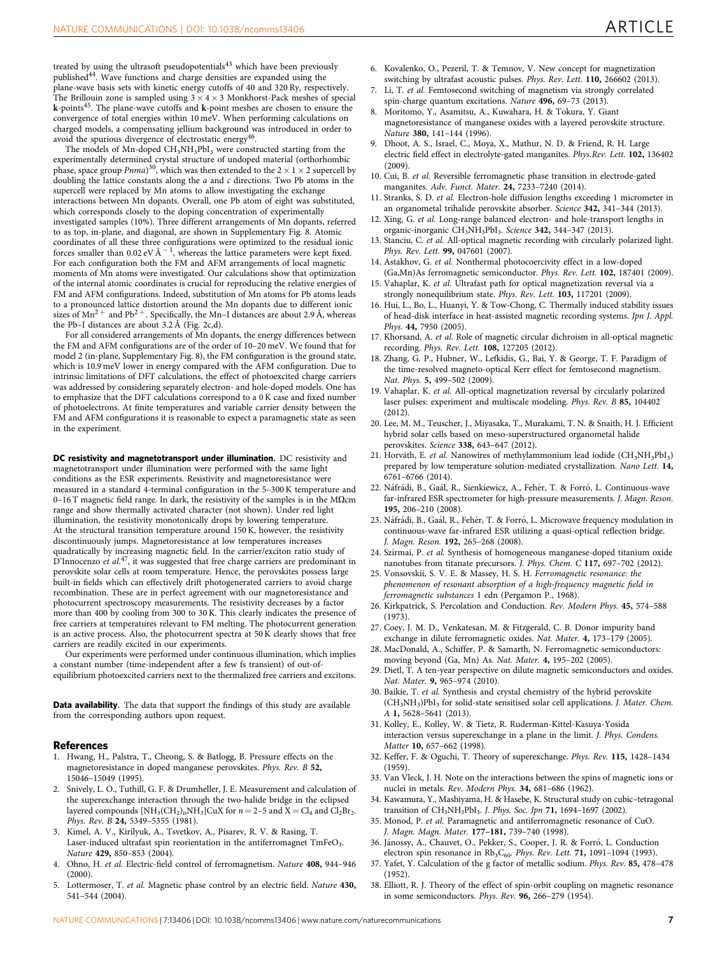<span id="page-6-0"></span>treated by using the ultrasoft pseudopotentials $43$  which have been previously published<sup>[44](#page-7-0)</sup>. Wave functions and charge densities are expanded using the plane-wave basis sets with kinetic energy cutoffs of 40 and 320 Ry, respectively. The Brillouin zone is sampled using  $3 \times 4 \times 3$  Monkhorst-Pack meshes of special k-points<sup>[45](#page-7-0)</sup>. The plane-wave cutoffs and k-point meshes are chosen to ensure the convergence of total energies within 10 meV. When performing calculations on charged models, a compensating jellium background was introduced in order to avoid the spurious divergence of electrostatic energy[46.](#page-7-0)

The models of Mn-doped  $CH_3NH_3PbI_3$  were constructed starting from the experimentally determined crystal structure of undoped material (orthorhombic phase, space group  $Pnma)^{30}$ , which was then extended to the 2  $\times$  1  $\times$  2 supercell by doubling the lattice constants along the a and c directions. Two Pb atoms in the supercell were replaced by Mn atoms to allow investigating the exchange interactions between Mn dopants. Overall, one Pb atom of eight was substituted, which corresponds closely to the doping concentration of experimentally investigated samples (10%). Three different arrangements of Mn dopants, referred to as top, in-plane, and diagonal, are shown in Supplementary Fig. 8. Atomic coordinates of all these three configurations were optimized to the residual ionic forces smaller than  $0.02 \text{ eV} \text{ Å}^{-1}$ , whereas the lattice parameters were kept fixed. For each configuration both the FM and AFM arrangements of local magnetic moments of Mn atoms were investigated. Our calculations show that optimization of the internal atomic coordinates is crucial for reproducing the relative energies of FM and AFM configurations. Indeed, substitution of Mn atoms for Pb atoms leads to a pronounced lattice distortion around the Mn dopants due to different ionic sizes of  $Mn^2$ <sup>+</sup> and Pb<sup>2+</sup>. Specifically, the Mn–I distances are about 2.9 Å, whereas the Pb–I distances are about 3.2 Å [\(Fig. 2c,d\)](#page-2-0).

For all considered arrangements of Mn dopants, the energy differences between the FM and AFM configurations are of the order of 10–20 meV. We found that for model 2 (in-plane, Supplementary Fig. 8), the FM configuration is the ground state, which is 10.9 meV lower in energy compared with the AFM configuration. Due to intrinsic limitations of DFT calculations, the effect of photoexcited charge carriers was addressed by considering separately electron- and hole-doped models. One has to emphasize that the DFT calculations correspond to a 0 K case and fixed number of photoelectrons. At finite temperatures and variable carrier density between the FM and AFM configurations it is reasonable to expect a paramagnetic state as seen in the experiment.

DC resistivity and magnetotransport under illumination. DC resistivity and magnetotransport under illumination were performed with the same light conditions as the ESR experiments. Resistivity and magnetoresistance were measured in a standard 4-terminal configuration in the 5–300 K temperature and 0-16 T magnetic field range. In dark, the resistivity of the samples is in the M $\Omega$ cm range and show thermally activated character (not shown). Under red light illumination, the resistivity monotonically drops by lowering temperature. At the structural transition temperature around 150 K, however, the resistivity discontinuously jumps. Magnetoresistance at low temperatures increases quadratically by increasing magnetic field. In the carrier/exciton ratio study of D'Innocenzo et al.<sup>47</sup>, it was suggested that free charge carriers are predominant in perovskite solar cells at room temperature. Hence, the perovskites possess large built-in fields which can effectively drift photogenerated carriers to avoid charge recombination. These are in perfect agreement with our magnetoresistance and photocurrent spectroscopy measurements. The resistivity decreases by a factor more than 400 by cooling from 300 to 30 K. This clearly indicates the presence of free carriers at temperatures relevant to FM melting. The photocurrent generation is an active process. Also, the photocurrent spectra at 50 K clearly shows that free carriers are readily excited in our experiments.

Our experiments were performed under continuous illumination, which implies a constant number (time-independent after a few fs transient) of out-ofequilibrium photoexcited carriers next to the thermalized free carriers and excitons.

Data availability. The data that support the findings of this study are available from the corresponding authors upon request.

#### References

- 1. Hwang, H., Palstra, T., Cheong, S. & Batlogg, B. Pressure effects on the magnetoresistance in doped manganese perovskites. Phys. Rev. B 52, 15046–15049 (1995).
- 2. Snively, L. O., Tuthill, G. F. & Drumheller, J. E. Measurement and calculation of the superexchange interaction through the two-halide bridge in the eclipsed layered compounds  $[NH_3(CH_2)_nNH_3]CuX$  for  $n = 2-5$  and  $X = Cl_4$  and  $Cl_2Br_2$ . Phys. Rev. B 24, 5349–5355 (1981).
- 3. Kimel, A. V., Kirilyuk, A., Tsvetkov, A., Pisarev, R. V. & Rasing, T. Laser-induced ultrafast spin reorientation in the antiferromagnet TmFeO<sub>3</sub>. Nature 429, 850–853 (2004).
- 4. Ohno, H. et al. Electric-field control of ferromagnetism. Nature 408, 944–946 (2000).
- 5. Lottermoser, T. et al. Magnetic phase control by an electric field. Nature 430, 541–544 (2004).
- 6. Kovalenko, O., Pezeril, T. & Temnov, V. New concept for magnetization switching by ultrafast acoustic pulses. Phys. Rev. Lett. 110, 266602 (2013).
- Li, T. et al. Femtosecond switching of magnetism via strongly correlated spin-charge quantum excitations. Nature 496, 69-73 (2013).
- 8. Moritomo, Y., Asamitsu, A., Kuwahara, H. & Tokura, Y. Giant magnetoresistance of manganese oxides with a layered perovskite structure. Nature 380, 141-144 (1996).
- 9. Dhoot, A. S., Israel, C., Moya, X., Mathur, N. D. & Friend, R. H. Large electric field effect in electrolyte-gated manganites. Phys.Rev. Lett. 102, 136402  $(2009)$
- 10. Cui, B. et al. Reversible ferromagnetic phase transition in electrode-gated manganites. Adv. Funct. Mater. 24, 7233–7240 (2014).
- 11. Stranks, S. D. et al. Electron-hole diffusion lengths exceeding 1 micrometer in an organometal trihalide perovskite absorber. Science 342, 341–344 (2013).
- 12. Xing, G. et al. Long-range balanced electron- and hole-transport lengths in organic-inorganic CH3NH3PbI3. Science 342, 344–347 (2013).
- 13. Stanciu, C. et al. All-optical magnetic recording with circularly polarized light. Phys. Rev. Lett. 99, 047601 (2007).
- 14. Astakhov, G. et al. Nonthermal photocoercivity effect in a low-doped (Ga,Mn)As ferromagnetic semiconductor. Phys. Rev. Lett. 102, 187401 (2009).
- 15. Vahaplar, K. et al. Ultrafast path for optical magnetization reversal via a strongly nonequilibrium state. Phys. Rev. Lett. 103, 117201 (2009).
- 16. Hui, L., Bo, L., Huanyi, Y. & Tow-Chong, C. Thermally induced stability issues of head-disk interface in heat-assisted magnetic recording systems. Jpn J. Appl. Phys. 44, 7950 (2005).
- 17. Khorsand, A. et al. Role of magnetic circular dichroism in all-optical magnetic recording. Phys. Rev. Lett. 108, 127205 (2012).
- 18. Zhang, G. P., Hubner, W., Lefkidis, G., Bai, Y. & George, T. F. Paradigm of the time-resolved magneto-optical Kerr effect for femtosecond magnetism. Nat. Phys. 5, 499–502 (2009).
- 19. Vahaplar, K. et al. All-optical magnetization reversal by circularly polarized laser pulses: experiment and multiscale modeling. Phys. Rev. B 85, 104402 (2012).
- 20. Lee, M. M., Teuscher, J., Miyasaka, T., Murakami, T. N. & Snaith, H. J. Efficient hybrid solar cells based on meso-superstructured organometal halide perovskites. Science 338, 643–647 (2012).
- 21. Horváth, E. et al. Nanowires of methylammonium lead iodide (CH<sub>3</sub>NH<sub>3</sub>PbI<sub>3</sub>) prepared by low temperature solution-mediated crystallization. Nano Lett. 14, 6761–6766 (2014).
- 22. Náfrádi, B., Gaál, R., Sienkiewicz, A., Fehér, T. & Forró, L. Continuous-wave far-infrared ESR spectrometer for high-pressure measurements. J. Magn. Reson. 195, 206–210 (2008).
- 23. Náfrádi, B., Gaál, R., Fehér, T. & Forró, L. Microwave frequency modulation in continuous-wave far-infrared ESR utilizing a quasi-optical reflection bridge. J. Magn. Reson. 192, 265–268 (2008).
- 24. Szirmai, P. et al. Synthesis of homogeneous manganese-doped titanium oxide nanotubes from titanate precursors. J. Phys. Chem. C 117, 697–702 (2012).
- 25. Vonsovskii, S. V. E. & Massey, H. S. H. Ferromagnetic resonance: the phenomenon of resonant absorption of a high-frequency magnetic field in ferromagnetic substances 1 edn (Pergamon P., 1968).
- 26. Kirkpatrick, S. Percolation and Conduction. Rev. Modern Phys. 45, 574–588 (1973).
- 27. Coey, J. M. D., Venkatesan, M. & Fitzgerald, C. B. Donor impurity band exchange in dilute ferromagnetic oxides. Nat. Mater. 4, 173–179 (2005).
- 28. MacDonald, A., Schiffer, P. & Samarth, N. Ferromagnetic semiconductors: moving beyond (Ga, Mn) As. Nat. Mater. 4, 195–202 (2005).
- 29. Dietl, T. A ten-year perspective on dilute magnetic semiconductors and oxides. Nat. Mater. 9, 965–974 (2010).
- 30. Baikie, T. et al. Synthesis and crystal chemistry of the hybrid perovskite (CH<sub>3</sub>NH<sub>3</sub>)PbI<sub>3</sub> for solid-state sensitised solar cell applications. J. Mater. Chem. A 1, 5628–5641 (2013).
- 31. Kolley, E., Kolley, W. & Tietz, R. Ruderman-Kittel-Kasuya-Yosida interaction versus superexchange in a plane in the limit. J. Phys. Condens. Matter 10, 657–662 (1998).
- 32. Keffer, F. & Oguchi, T. Theory of superexchange. Phys. Rev. 115, 1428–1434 (1959).
- 33. Van Vleck, J. H. Note on the interactions between the spins of magnetic ions or nuclei in metals. Rev. Modern Phys. 34, 681–686 (1962).
- 34. Kawamura, Y., Mashiyama, H. & Hasebe, K. Structural study on cubic–tetragonal transition of CH<sub>3</sub>NH<sub>3</sub>PbI<sub>3</sub>. J. Phys. Soc. Jpn 71, 1694-1697 (2002).
- 35. Monod, P. et al. Paramagnetic and antiferromagnetic resonance of CuO. J. Magn. Magn. Mater. 177–181, 739–740 (1998).
- 36. Jánossy, A., Chauvet, O., Pekker, S., Cooper, J. R. & Forró, L. Conduction electron spin resonance in Rb<sub>3</sub>C<sub>60</sub>. Phys. Rev. Lett. 71, 1091-1094 (1993).
- 37. Yafet, Y. Calculation of the g factor of metallic sodium. Phys. Rev. 85, 478–478 (1952).
- 38. Elliott, R. J. Theory of the effect of spin-orbit coupling on magnetic resonance in some semiconductors. Phys. Rev. 96, 266–279 (1954).